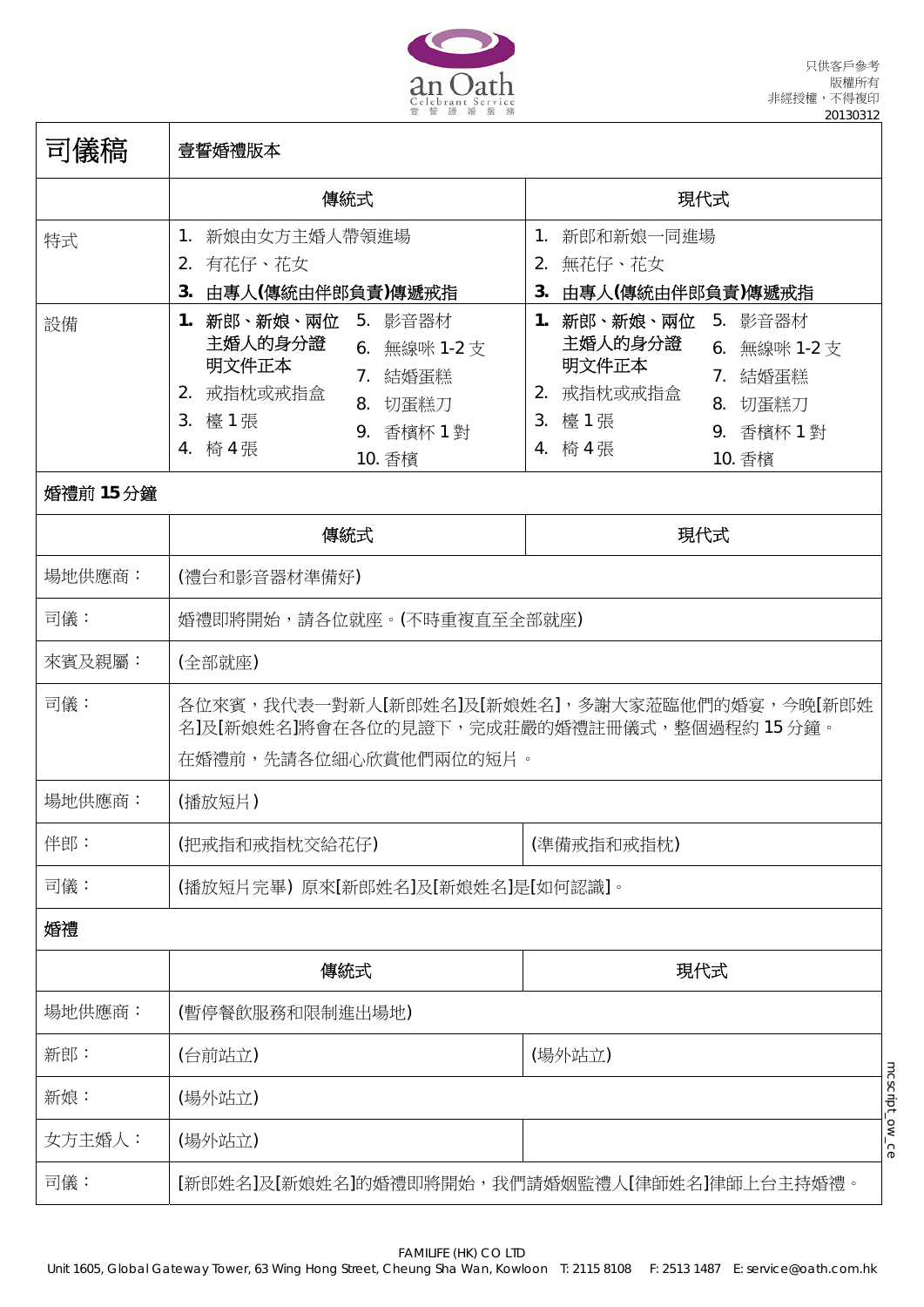

| 司儀稿             | 壹誓婚禮版本                                                                                                                                       |                                                                                                                                              |
|-----------------|----------------------------------------------------------------------------------------------------------------------------------------------|----------------------------------------------------------------------------------------------------------------------------------------------|
|                 | 傳統式                                                                                                                                          | 現代式                                                                                                                                          |
| 特式              | 新娘由女方主婚人帶領進場<br>$1_{\cdot}$<br>2. 有花仔、花女<br>3. 由專人(傳統由伴郎負責)傳遞戒指                                                                              | 1. 新郎和新娘一同進場<br>2. 無花仔、花女<br>3. 由專人(傳統由伴郎負責)傳遞戒指                                                                                             |
| 設備<br>婚禮前 15 分鐘 | 1. 新郎、新娘、兩位<br>5. 影音器材<br>主婚人的身分證<br>6. 無線咪 1-2 支<br>明文件正本<br>7. 結婚蛋糕<br>2. 戒指枕或戒指盒<br>8. 切蛋糕刀<br>3. 檯1張<br>9. 香檳杯 1 對<br>4. 椅 4 張<br>10. 香檳 | 1. 新郎、新娘、兩位<br>5. 影音器材<br>主婚人的身分證<br>6. 無線咪 1-2 支<br>明文件正本<br>7. 結婚蛋糕<br>2. 戒指枕或戒指盒<br>8. 切蛋糕刀<br>3. 檯1張<br>9. 香檳杯 1 對<br>4. 椅 4 張<br>10. 香檳 |
|                 | 傳統式                                                                                                                                          | 現代式                                                                                                                                          |
| 場地供應商:          | (禮台和影音器材準備好)                                                                                                                                 |                                                                                                                                              |
| 司儀:             | 婚禮即將開始,請各位就座。(不時重複直至全部就座)                                                                                                                    |                                                                                                                                              |
| 來賓及親屬:          | (全部就座)                                                                                                                                       |                                                                                                                                              |
| 司儀:             | 名]及[新娘姓名]將會在各位的見證下,完成莊嚴的婚禮註冊儀式,整個過程約 15 分鐘。<br>在婚禮前,先請各位細心欣賞他們兩位的短片。                                                                         | 各位來賓,我代表一對新人[新郎姓名]及[新娘姓名],多謝大家蒞臨他們的婚宴,今晚[新郎姓                                                                                                 |
| 場地供應商:          | (播放短片)                                                                                                                                       |                                                                                                                                              |
| 伴郎:             | (把戒指和戒指枕交給花仔)                                                                                                                                | (準備戒指和戒指枕)                                                                                                                                   |
| 司儀:             | (播放短片完畢) 原來[新郎姓名]及[新娘姓名]是[如何認識]。                                                                                                             |                                                                                                                                              |
| 婚禮              |                                                                                                                                              |                                                                                                                                              |
|                 | 傳統式                                                                                                                                          | 現代式                                                                                                                                          |
| 場地供應商:          | (暫停餐飲服務和限制進出場地)                                                                                                                              |                                                                                                                                              |
| 新郎:             | (台前站立)                                                                                                                                       | (場外站立)                                                                                                                                       |
| 新娘:             | (場外站立)                                                                                                                                       | mcscript_ow_ce                                                                                                                               |
| 女方主婚人:          | (場外站立)                                                                                                                                       |                                                                                                                                              |
| 司儀:             | [新郎姓名]及[新娘姓名]的婚禮即將開始,我們請婚姻監禮人[律師姓名]律師上台主持婚禮。                                                                                                 |                                                                                                                                              |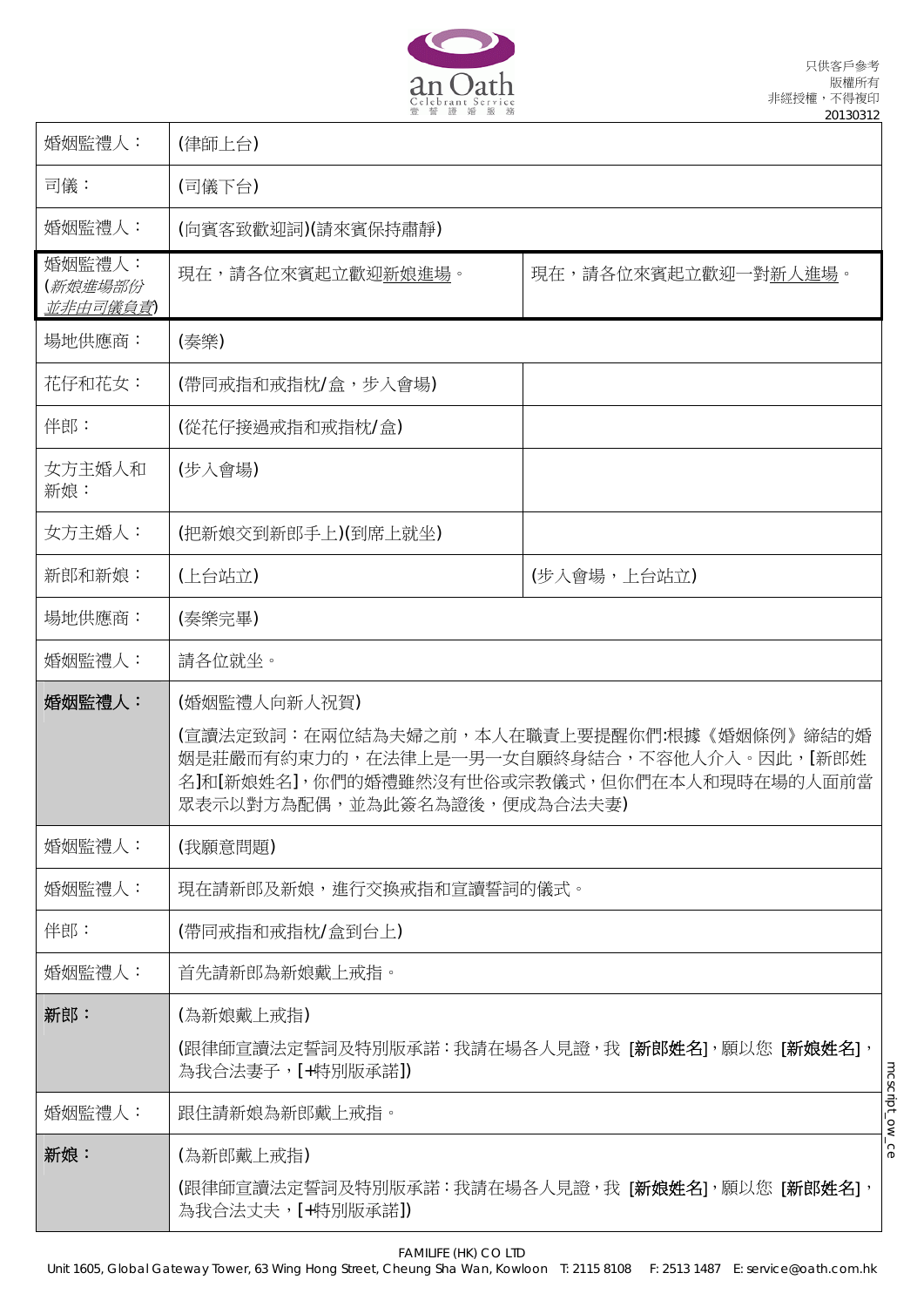

Ι

| 婚姻監禮人:                                | (律師上台)                                      |                                                                                                                                        |                |
|---------------------------------------|---------------------------------------------|----------------------------------------------------------------------------------------------------------------------------------------|----------------|
| 司儀:                                   | (司儀下台)                                      |                                                                                                                                        |                |
| 婚姻監禮人:                                | (向賓客致歡迎詞)(請來賓保持肅靜)                          |                                                                                                                                        |                |
| 婚姻監禮人:<br>(新娘進場部份<br><u>並非由司儀負責</u> ) | 現在,請各位來賓起立歡迎新娘進場。                           | 現在,請各位來賓起立歡迎一對新人進場。                                                                                                                    |                |
| 場地供應商:                                | (秦樂)                                        |                                                                                                                                        |                |
| 花仔和花女:                                | (帶同戒指和戒指枕/盒,步入會場)                           |                                                                                                                                        |                |
| 伴郎:                                   | (從花仔接過戒指和戒指枕/盒)                             |                                                                                                                                        |                |
| 女方主婚人和<br>新娘:                         | (步入會場)                                      |                                                                                                                                        |                |
| 女方主婚人:                                | (把新娘交到新郎手上)(到席上就坐)                          |                                                                                                                                        |                |
| 新郎和新娘:                                | (上台站立)                                      | (步入會場,上台站立)                                                                                                                            |                |
| 場地供應商:                                | (奏樂完畢)                                      |                                                                                                                                        |                |
| 婚姻監禮人:                                | 請各位就坐。                                      |                                                                                                                                        |                |
| 婚姻監禮人:                                | (婚姻監禮人向新人祝賀)<br>眾表示以對方為配偶,並為此簽名為證後,便成為合法夫妻) | (宣讀法定致詞:在兩位結為夫婦之前,本人在職責上要提醒你們:根據《婚姻條例》締結的婚<br>姻是莊嚴而有約束力的,在法律上是一男一女自願終身結合,不容他人介入。因此,[新郎姓<br>名]和[新娘姓名],你們的婚禮雖然沒有世俗或宗教儀式,但你們在本人和現時在場的人面前當 |                |
| 婚姻監禮人:                                | (我願意問題)                                     |                                                                                                                                        |                |
| 婚姻監禮人:                                | 現在請新郎及新娘,進行交換戒指和宣讀誓詞的儀式。                    |                                                                                                                                        |                |
| 伴郎:                                   | (帶同戒指和戒指枕/盒到台上)                             |                                                                                                                                        |                |
| 婚姻監禮人:                                | 首先請新郎為新娘戴上戒指。                               |                                                                                                                                        |                |
| 新郎:                                   | (為新娘戴上戒指)                                   |                                                                                                                                        |                |
|                                       | 為我合法妻子,[+特別版承諾])                            | (跟律師宣讀法定誓詞及特別版承諾:我請在場各人見證,我 [ <b>新郎姓名</b> ],願以您 [ <b>新娘姓名</b> ],                                                                       |                |
| 婚姻監禮人:                                | 跟住請新娘為新郎戴上戒指。                               |                                                                                                                                        | mcscript_ow_ce |
| 新娘:                                   | (為新郎戴上戒指)                                   | (跟律師宣讀法定誓詞及特別版承諾:我請在場各人見證,我 [ <b>新娘姓名</b> ],願以您 [ <b>新郎姓名</b> ],                                                                       |                |
|                                       | 為我合法丈夫,[+特別版承諾])                            |                                                                                                                                        |                |

FAMILIFE (HK) CO LTD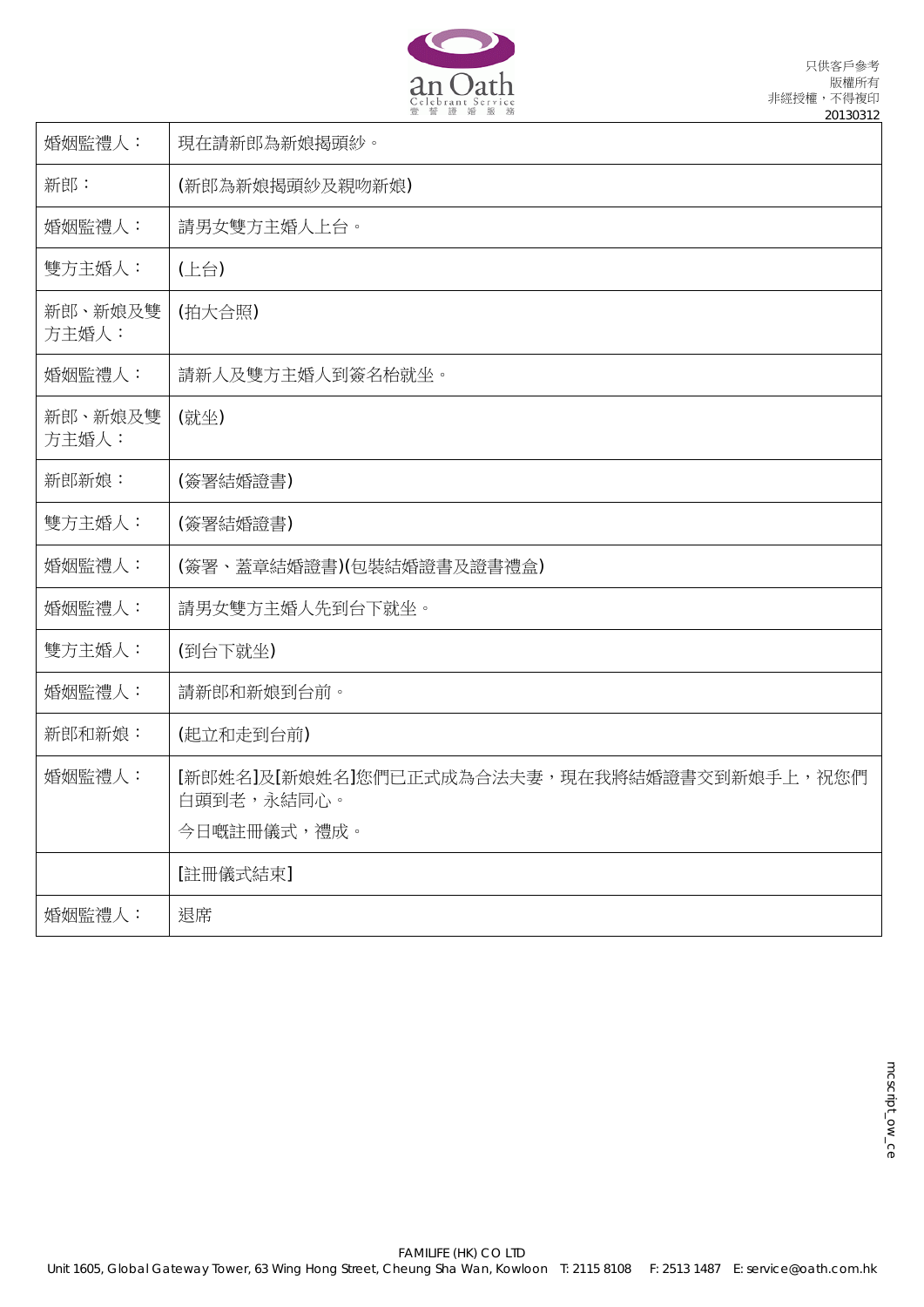

| 婚姻監禮人:           | 現在請新郎為新娘揭頭紗。                                                             |
|------------------|--------------------------------------------------------------------------|
| 新郎:              | (新郎為新娘揭頭紗及親吻新娘)                                                          |
| 婚姻監禮人:           | 請男女雙方主婚人上台。                                                              |
| 雙方主婚人:           | (上台)                                                                     |
| 新郎、新娘及雙<br>方主婚人: | (拍大合照)                                                                   |
| 婚姻監禮人:           | 請新人及雙方主婚人到簽名枱就坐。                                                         |
| 新郎、新娘及雙<br>方主婚人: | (就坐)                                                                     |
| 新郎新娘:            | (簽署結婚證書)                                                                 |
| 雙方主婚人:           | (簽署結婚證書)                                                                 |
| 婚姻監禮人:           | (簽署、蓋章結婚證書)(包裝結婚證書及證書禮盒)                                                 |
| 婚姻監禮人:           | 請男女雙方主婚人先到台下就坐。                                                          |
| 雙方主婚人:           | (到台下就坐)                                                                  |
| 婚姻監禮人:           | 請新郎和新娘到台前。                                                               |
| 新郎和新娘:           | (起立和走到台前)                                                                |
| 婚姻監禮人:           | [新郎姓名]及[新娘姓名]您們已正式成為合法夫妻,現在我將結婚證書交到新娘手上,祝您們<br>白頭到老,永結同心。<br>今日嘅註冊儀式,禮成。 |
|                  | [註冊儀式結束]                                                                 |
| 婚姻監禮人:           | 退席                                                                       |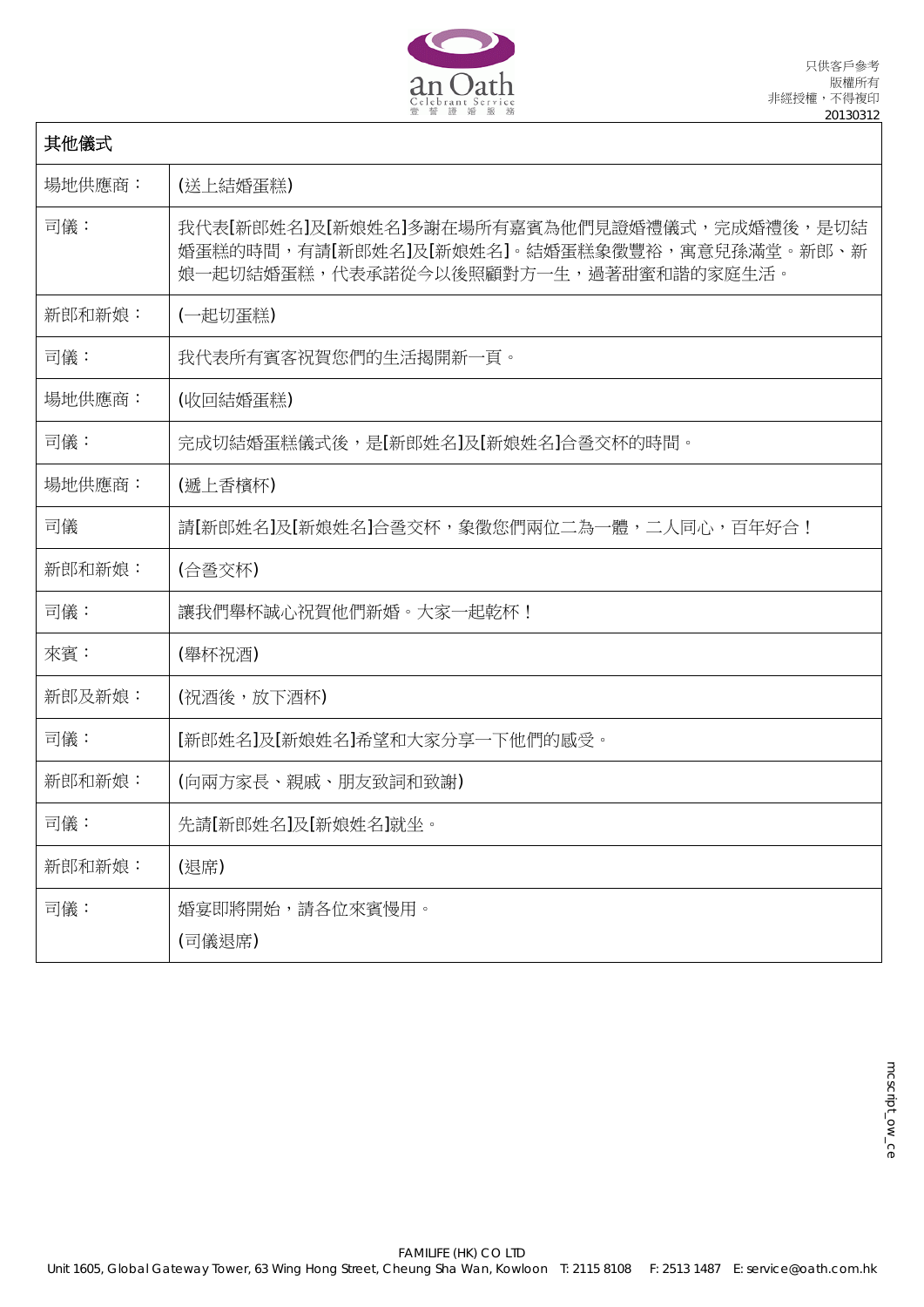

П

| 其他儀式   |                                                                                                                                    |
|--------|------------------------------------------------------------------------------------------------------------------------------------|
| 場地供應商: | (送上結婚蛋糕)                                                                                                                           |
| 司儀:    | 我代表[新郎姓名]及[新娘姓名]多謝在場所有嘉賓為他們見證婚禮儀式,完成婚禮後,是切結<br>婚蛋糕的時間,有請[新郎姓名]及[新娘姓名]。結婚蛋糕象徵豐裕,寓意兒孫滿堂。新郎、新<br>娘一起切結婚蛋糕,代表承諾從今以後照顧對方一生,過著甜蜜和諧的家庭生活。 |
| 新郎和新娘: | (一起切蛋糕)                                                                                                                            |
| 司儀:    | 我代表所有賓客祝賀您們的生活揭開新一頁。                                                                                                               |
| 場地供應商: | (收回結婚蛋糕)                                                                                                                           |
| 司儀:    | 完成切結婚蛋糕儀式後,是[新郎姓名]及[新娘姓名]合巹交杯的時間。                                                                                                  |
| 場地供應商: | (遞上香檳杯)                                                                                                                            |
| 司儀     | 請[新郎姓名]及[新娘姓名]合巹交杯,象徵您們兩位二為一體,二人同心,百年好合!                                                                                           |
| 新郎和新娘: | (合巹交杯)                                                                                                                             |
| 司儀:    | 讓我們舉杯誠心祝賀他們新婚。大家一起乾杯!                                                                                                              |
| 來賓:    | (舉杯祝酒)                                                                                                                             |
| 新郎及新娘: | (祝酒後,放下酒杯)                                                                                                                         |
| 司儀:    | [新郎姓名]及[新娘姓名]希望和大家分享一下他們的感受。                                                                                                       |
| 新郎和新娘: | (向兩方家長、親戚、朋友致詞和致謝)                                                                                                                 |
| 司儀:    | 先請[新郎姓名]及[新娘姓名]就坐。                                                                                                                 |
| 新郎和新娘: | (退席)                                                                                                                               |
| 司儀:    | 婚宴即將開始,請各位來賓慢用。<br>(司儀退席)                                                                                                          |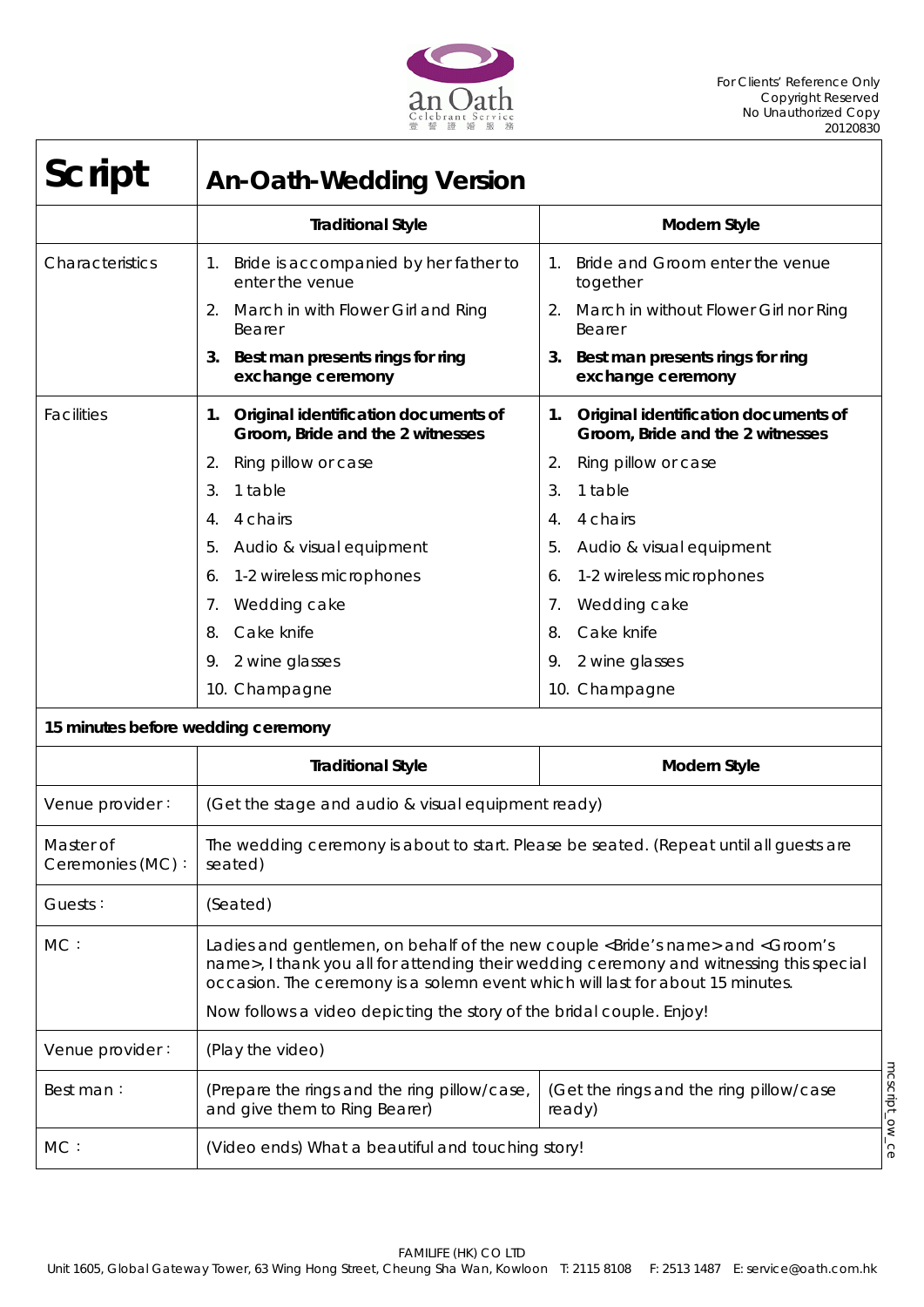

| <b>Script</b>                      | <b>An-Oath-Wedding Version</b>                                                                                                                                                            |                                                                                         |
|------------------------------------|-------------------------------------------------------------------------------------------------------------------------------------------------------------------------------------------|-----------------------------------------------------------------------------------------|
|                                    | <b>Traditional Style</b>                                                                                                                                                                  | <b>Modern Style</b>                                                                     |
| Characteristics                    | Bride is accompanied by her father to<br>1.<br>enter the venue                                                                                                                            | Bride and Groom enter the venue<br>$1_{\cdot}$<br>together                              |
|                                    | March in with Flower Girl and Ring<br>2.<br>Bearer                                                                                                                                        | March in without Flower Girl nor Ring<br>2.<br>Bearer                                   |
|                                    | 3. Best man presents rings for ring<br>exchange ceremony                                                                                                                                  | Best man presents rings for ring<br>3.<br>exchange ceremony                             |
| <b>Facilities</b>                  | 1. Original identification documents of<br>Groom, Bride and the 2 witnesses                                                                                                               | Original identification documents of<br>1.<br>Groom, Bride and the 2 witnesses          |
|                                    | Ring pillow or case<br>2.                                                                                                                                                                 | Ring pillow or case<br>2.                                                               |
|                                    | 3.<br>1 table                                                                                                                                                                             | 1 table<br>3.                                                                           |
|                                    | 4 chairs<br>4.                                                                                                                                                                            | 4 chairs<br>4.                                                                          |
|                                    | 5.<br>Audio & visual equipment                                                                                                                                                            | 5.<br>Audio & visual equipment                                                          |
|                                    | 1-2 wireless microphones<br>6.                                                                                                                                                            | 1-2 wireless microphones<br>6.                                                          |
|                                    | Wedding cake<br>7.                                                                                                                                                                        | Wedding cake<br>7.                                                                      |
|                                    | Cake knife<br>8.                                                                                                                                                                          | Cake knife<br>8.                                                                        |
|                                    | 2 wine glasses<br>9.                                                                                                                                                                      | 2 wine glasses<br>9.                                                                    |
|                                    | 10. Champagne                                                                                                                                                                             | 10. Champagne                                                                           |
| 15 minutes before wedding ceremony |                                                                                                                                                                                           |                                                                                         |
|                                    | <b>Traditional Style</b>                                                                                                                                                                  | <b>Modern Style</b>                                                                     |
| Venue provider:                    | (Get the stage and audio & visual equipment ready)                                                                                                                                        |                                                                                         |
| Master of<br>Ceremonies (MC):      | The wedding ceremony is about to start. Please be seated. (Repeat until all guests are<br>seated)                                                                                         |                                                                                         |
| Guests:                            | (Seated)                                                                                                                                                                                  |                                                                                         |
| MC:                                | Ladies and gentlemen, on behalf of the new couple <bride's name=""> and <groom's<br>occasion. The ceremony is a solemn event which will last for about 15 minutes.</groom's<br></bride's> | name>, I thank you all for attending their wedding ceremony and witnessing this special |
|                                    | Now follows a video depicting the story of the bridal couple. Enjoy!                                                                                                                      |                                                                                         |
| Venue provider:                    | (Play the video)                                                                                                                                                                          |                                                                                         |
| Best man:                          | (Prepare the rings and the ring pillow/case,<br>and give them to Ring Bearer)                                                                                                             | mcscript_ow_ce<br>(Get the rings and the ring pillow/case<br>ready)                     |
| MC:                                | (Video ends) What a beautiful and touching story!                                                                                                                                         |                                                                                         |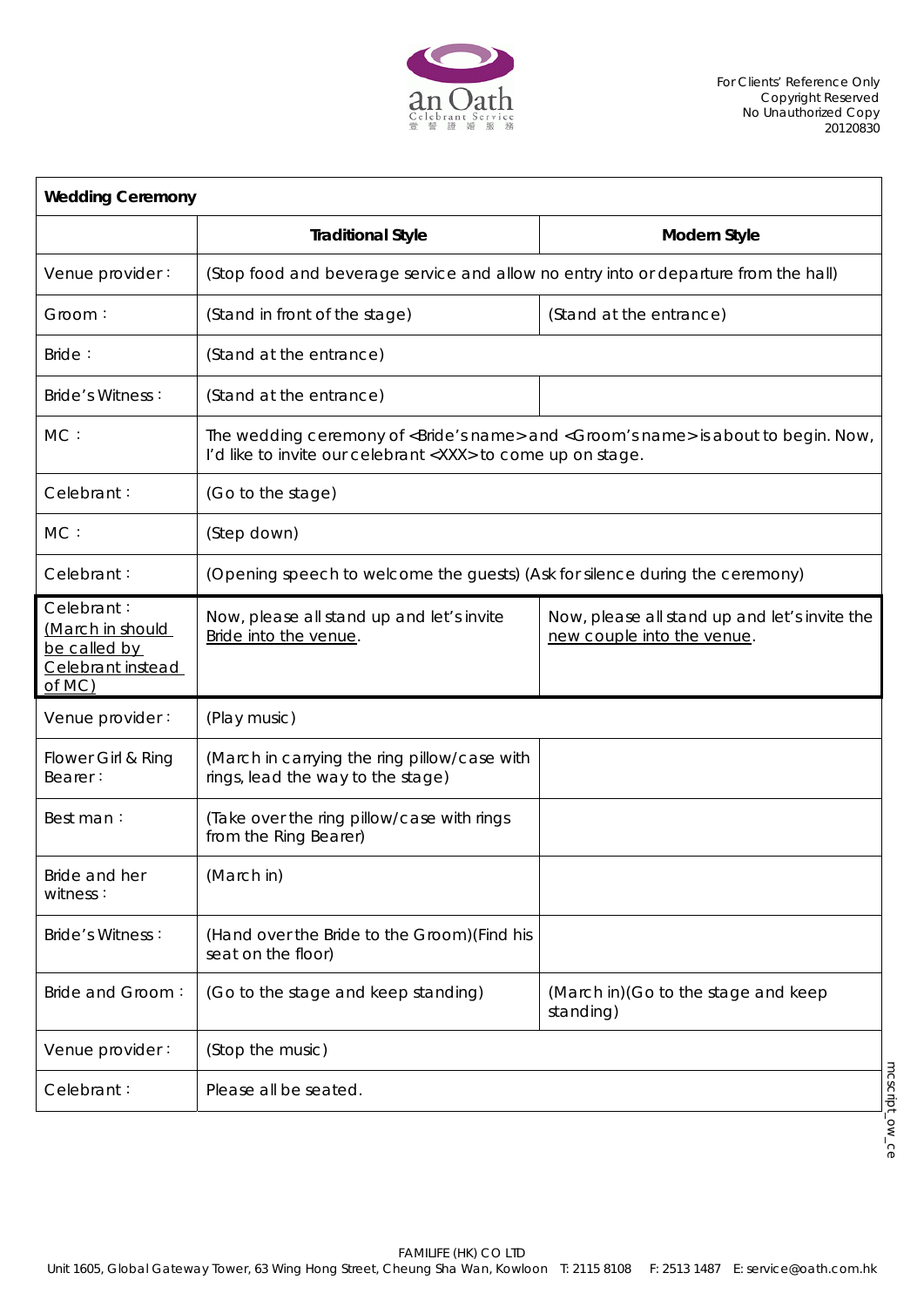

| <b>Wedding Ceremony</b>                                                       |                                                                                     |                                                                                                             |
|-------------------------------------------------------------------------------|-------------------------------------------------------------------------------------|-------------------------------------------------------------------------------------------------------------|
|                                                                               | <b>Traditional Style</b>                                                            | Modern Style                                                                                                |
| Venue provider:                                                               | (Stop food and beverage service and allow no entry into or departure from the hall) |                                                                                                             |
| Groom:                                                                        | (Stand in front of the stage)                                                       | (Stand at the entrance)                                                                                     |
| Bride:                                                                        | (Stand at the entrance)                                                             |                                                                                                             |
| <b>Bride's Witness:</b>                                                       | (Stand at the entrance)                                                             |                                                                                                             |
| MC:                                                                           | I'd like to invite our celebrant <xxx> to come up on stage.</xxx>                   | The wedding ceremony of <bride's name=""> and <groom's name=""> is about to begin. Now,</groom's></bride's> |
| Celebrant:                                                                    | (Go to the stage)                                                                   |                                                                                                             |
| MC:                                                                           | (Step down)                                                                         |                                                                                                             |
| Celebrant:                                                                    | (Opening speech to welcome the guests) (Ask for silence during the ceremony)        |                                                                                                             |
| Celebrant:<br>(March in should<br>be called by<br>Celebrant instead<br>of MC) | Now, please all stand up and let's invite<br>Bride into the venue.                  | Now, please all stand up and let's invite the<br>new couple into the venue.                                 |
| Venue provider:                                                               | (Play music)                                                                        |                                                                                                             |
| Flower Girl & Ring<br>Bearer:                                                 | (March in carrying the ring pillow/case with<br>rings, lead the way to the stage)   |                                                                                                             |
| Best man:                                                                     | (Take over the ring pillow/case with rings<br>from the Ring Bearer)                 |                                                                                                             |
| Bride and her<br>witness:                                                     | (March in)                                                                          |                                                                                                             |
| <b>Bride's Witness:</b>                                                       | (Hand over the Bride to the Groom) (Find his<br>seat on the floor)                  |                                                                                                             |
| Bride and Groom:                                                              | (Go to the stage and keep standing)                                                 | (March in) (Go to the stage and keep<br>standing)                                                           |
| Venue provider:                                                               | (Stop the music)                                                                    |                                                                                                             |
| Celebrant:                                                                    | Please all be seated.                                                               |                                                                                                             |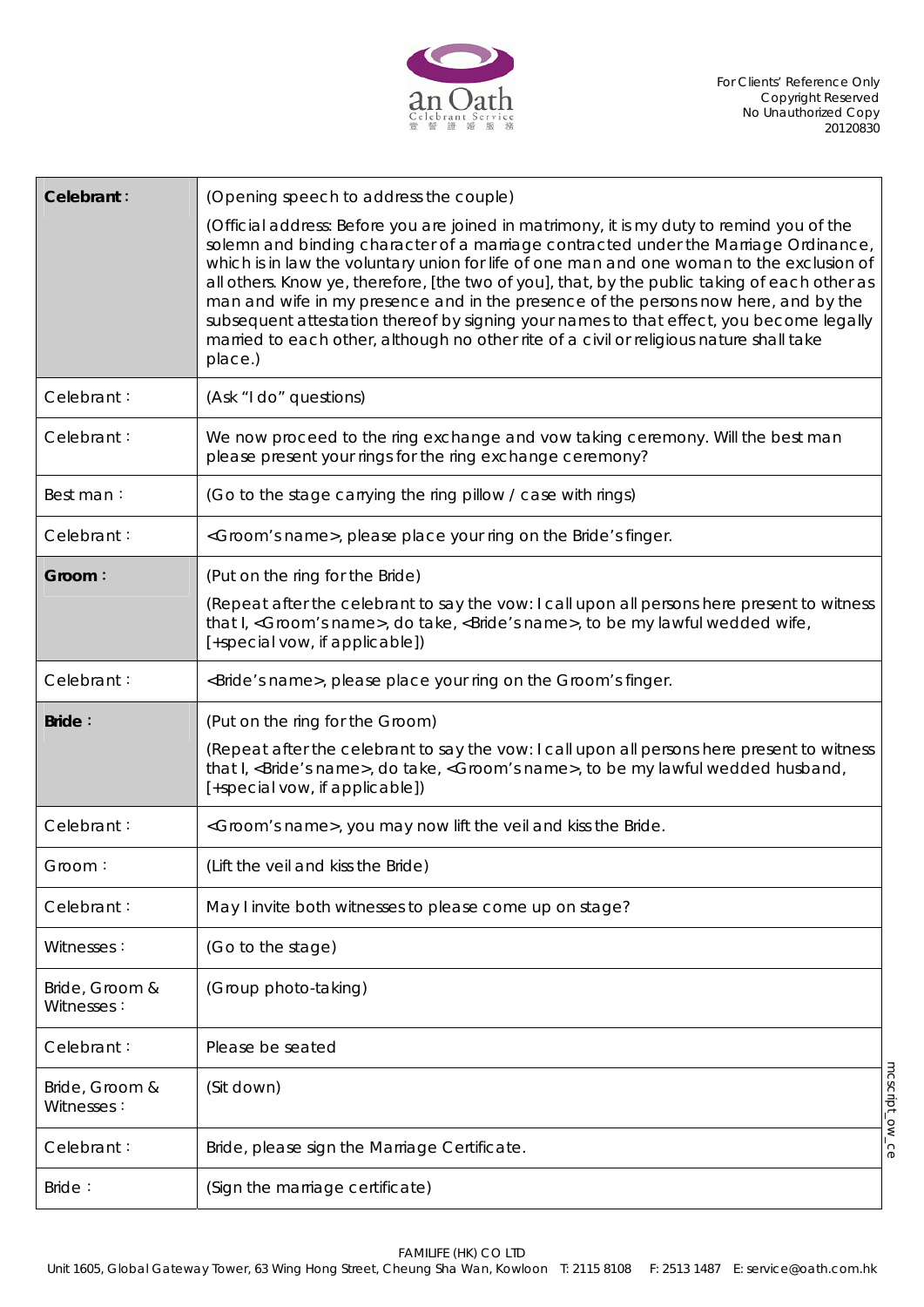

| Celebrant:                   | (Opening speech to address the couple)                                                                                                                                                                                                                                                                                                                                                                                                                                                                                                                                                                                                                                 |                |
|------------------------------|------------------------------------------------------------------------------------------------------------------------------------------------------------------------------------------------------------------------------------------------------------------------------------------------------------------------------------------------------------------------------------------------------------------------------------------------------------------------------------------------------------------------------------------------------------------------------------------------------------------------------------------------------------------------|----------------|
|                              | (Official address: Before you are joined in matrimony, it is my duty to remind you of the<br>solemn and binding character of a marriage contracted under the Marriage Ordinance,<br>which is in law the voluntary union for life of one man and one woman to the exclusion of<br>all others. Know ye, therefore, [the two of you], that, by the public taking of each other as<br>man and wife in my presence and in the presence of the persons now here, and by the<br>subsequent attestation thereof by signing your names to that effect, you become legally<br>married to each other, although no other rite of a civil or religious nature shall take<br>place.) |                |
| Celebrant:                   | (Ask "I do" questions)                                                                                                                                                                                                                                                                                                                                                                                                                                                                                                                                                                                                                                                 |                |
| Celebrant:                   | We now proceed to the ring exchange and vow taking ceremony. Will the best man<br>please present your rings for the ring exchange ceremony?                                                                                                                                                                                                                                                                                                                                                                                                                                                                                                                            |                |
| Best man:                    | (Go to the stage carrying the ring pillow / case with rings)                                                                                                                                                                                                                                                                                                                                                                                                                                                                                                                                                                                                           |                |
| Celebrant:                   | <groom's name="">, please place your ring on the Bride's finger.</groom's>                                                                                                                                                                                                                                                                                                                                                                                                                                                                                                                                                                                             |                |
| Groom:                       | (Put on the ring for the Bride)                                                                                                                                                                                                                                                                                                                                                                                                                                                                                                                                                                                                                                        |                |
|                              | (Repeat after the celebrant to say the vow: I call upon all persons here present to witness<br>that I, <groom's name="">, do take, <bride's name="">, to be my lawful wedded wife,<br/>[+special vow, if applicable])</bride's></groom's>                                                                                                                                                                                                                                                                                                                                                                                                                              |                |
| Celebrant:                   | <bride's name="">, please place your ring on the Groom's finger.</bride's>                                                                                                                                                                                                                                                                                                                                                                                                                                                                                                                                                                                             |                |
|                              |                                                                                                                                                                                                                                                                                                                                                                                                                                                                                                                                                                                                                                                                        |                |
| <b>Bride:</b>                | (Put on the ring for the Groom)                                                                                                                                                                                                                                                                                                                                                                                                                                                                                                                                                                                                                                        |                |
|                              | (Repeat after the celebrant to say the vow: I call upon all persons here present to witness<br>that I, <bride's name="">, do take, <groom's name="">, to be my lawful wedded husband,<br/>[+special vow, if applicable])</groom's></bride's>                                                                                                                                                                                                                                                                                                                                                                                                                           |                |
| Celebrant:                   | <groom's name="">, you may now lift the veil and kiss the Bride.</groom's>                                                                                                                                                                                                                                                                                                                                                                                                                                                                                                                                                                                             |                |
| Groom:                       | (Lift the veil and kiss the Bride)                                                                                                                                                                                                                                                                                                                                                                                                                                                                                                                                                                                                                                     |                |
| Celebrant:                   | May I invite both witnesses to please come up on stage?                                                                                                                                                                                                                                                                                                                                                                                                                                                                                                                                                                                                                |                |
| Witnesses:                   | (Go to the stage)                                                                                                                                                                                                                                                                                                                                                                                                                                                                                                                                                                                                                                                      |                |
| Bride, Groom &<br>Witnesses: | (Group photo-taking)                                                                                                                                                                                                                                                                                                                                                                                                                                                                                                                                                                                                                                                   |                |
| Celebrant:                   | Please be seated                                                                                                                                                                                                                                                                                                                                                                                                                                                                                                                                                                                                                                                       |                |
| Bride, Groom &<br>Witnesses: | (Sit down)                                                                                                                                                                                                                                                                                                                                                                                                                                                                                                                                                                                                                                                             |                |
| Celebrant:                   | Bride, please sign the Marriage Certificate.                                                                                                                                                                                                                                                                                                                                                                                                                                                                                                                                                                                                                           | mcscript_ow_ce |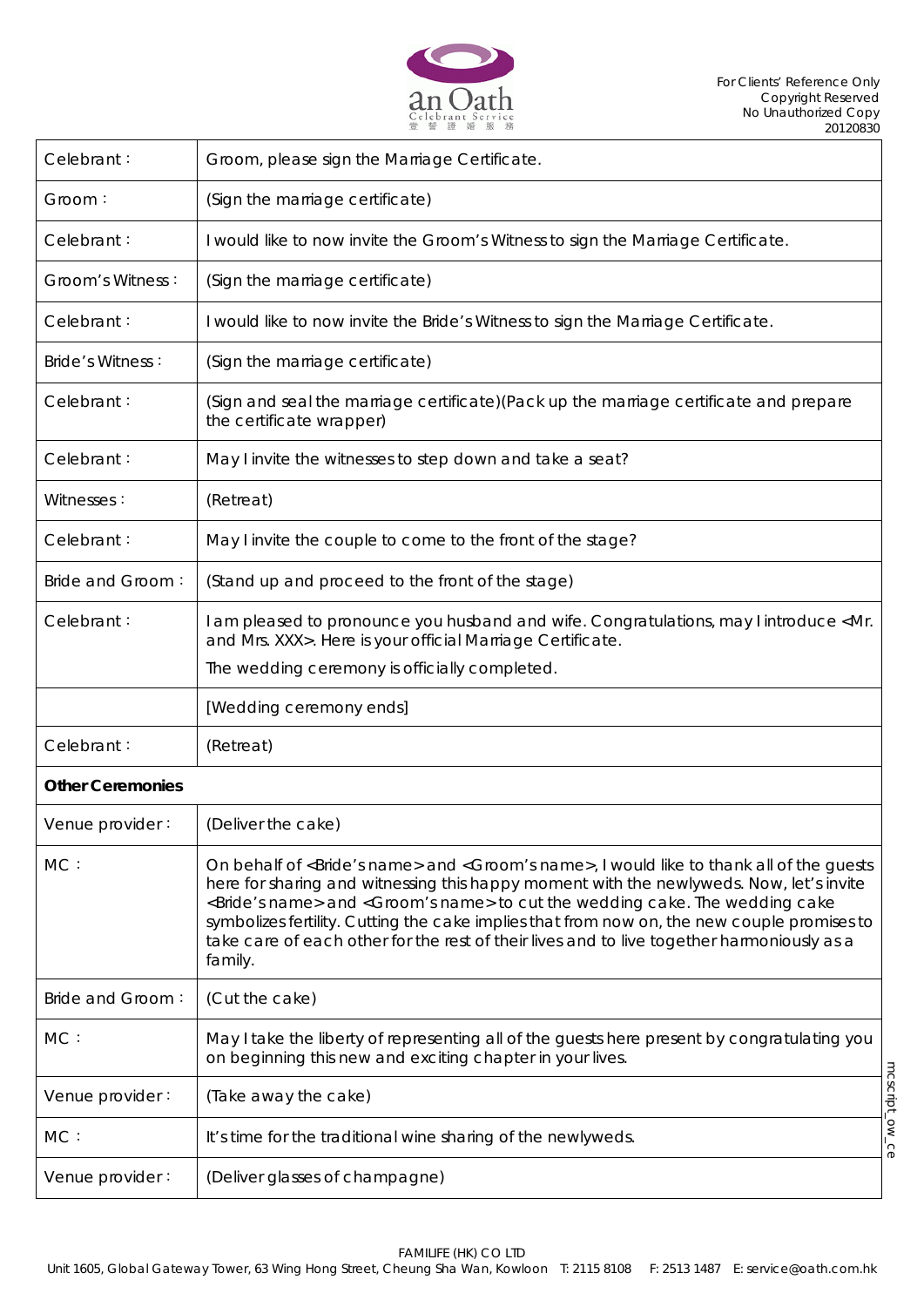

| Celebrant:              | Groom, please sign the Marriage Certificate.                                                                                                                                                                                                                                                                                                                                                                                                                                                                                       |                |
|-------------------------|------------------------------------------------------------------------------------------------------------------------------------------------------------------------------------------------------------------------------------------------------------------------------------------------------------------------------------------------------------------------------------------------------------------------------------------------------------------------------------------------------------------------------------|----------------|
| Groom:                  | (Sign the marriage certificate)                                                                                                                                                                                                                                                                                                                                                                                                                                                                                                    |                |
| Celebrant:              | I would like to now invite the Groom's Witness to sign the Marriage Certificate.                                                                                                                                                                                                                                                                                                                                                                                                                                                   |                |
| Groom's Witness:        | (Sign the marriage certificate)                                                                                                                                                                                                                                                                                                                                                                                                                                                                                                    |                |
| Celebrant:              | I would like to now invite the Bride's Witness to sign the Marriage Certificate.                                                                                                                                                                                                                                                                                                                                                                                                                                                   |                |
| <b>Bride's Witness:</b> | (Sign the marriage certificate)                                                                                                                                                                                                                                                                                                                                                                                                                                                                                                    |                |
| Celebrant:              | (Sign and seal the marriage certificate) (Pack up the marriage certificate and prepare<br>the certificate wrapper)                                                                                                                                                                                                                                                                                                                                                                                                                 |                |
| Celebrant:              | May I invite the witnesses to step down and take a seat?                                                                                                                                                                                                                                                                                                                                                                                                                                                                           |                |
| Witnesses:              | (Retreat)                                                                                                                                                                                                                                                                                                                                                                                                                                                                                                                          |                |
| Celebrant:              | May I invite the couple to come to the front of the stage?                                                                                                                                                                                                                                                                                                                                                                                                                                                                         |                |
| Bride and Groom:        | (Stand up and proceed to the front of the stage)                                                                                                                                                                                                                                                                                                                                                                                                                                                                                   |                |
| Celebrant:              | I am pleased to pronounce you husband and wife. Congratulations, may I introduce <mr.<br>and Mrs. XXX&gt;. Here is your official Marriage Certificate.</mr.<br>                                                                                                                                                                                                                                                                                                                                                                    |                |
|                         | The wedding ceremony is officially completed.                                                                                                                                                                                                                                                                                                                                                                                                                                                                                      |                |
|                         | [Wedding ceremony ends]                                                                                                                                                                                                                                                                                                                                                                                                                                                                                                            |                |
| Celebrant:              | (Retreat)                                                                                                                                                                                                                                                                                                                                                                                                                                                                                                                          |                |
| <b>Other Ceremonies</b> |                                                                                                                                                                                                                                                                                                                                                                                                                                                                                                                                    |                |
| Venue provider:         | (Deliver the cake)                                                                                                                                                                                                                                                                                                                                                                                                                                                                                                                 |                |
| MC:                     | On behalf of <bride's name=""> and <groom's name="">, I would like to thank all of the quests<br/>here for sharing and witnessing this happy moment with the newlyweds. Now, let's invite<br/><bride's name=""> and <groom's name=""> to cut the wedding cake. The wedding cake<br/>symbolizes fertility. Cutting the cake implies that from now on, the new couple promises to<br/>take care of each other for the rest of their lives and to live together harmoniously as a<br/>family.</groom's></bride's></groom's></bride's> |                |
| Bride and Groom:        | (Cut the cake)                                                                                                                                                                                                                                                                                                                                                                                                                                                                                                                     |                |
| MC:                     | May I take the liberty of representing all of the guests here present by congratulating you<br>on beginning this new and exciting chapter in your lives.                                                                                                                                                                                                                                                                                                                                                                           |                |
| Venue provider:         | (Take away the cake)                                                                                                                                                                                                                                                                                                                                                                                                                                                                                                               |                |
| MC:                     | It's time for the traditional wine sharing of the newlyweds.                                                                                                                                                                                                                                                                                                                                                                                                                                                                       | mcscript_ow_ce |
| Venue provider:         | (Deliver glasses of champagne)                                                                                                                                                                                                                                                                                                                                                                                                                                                                                                     |                |